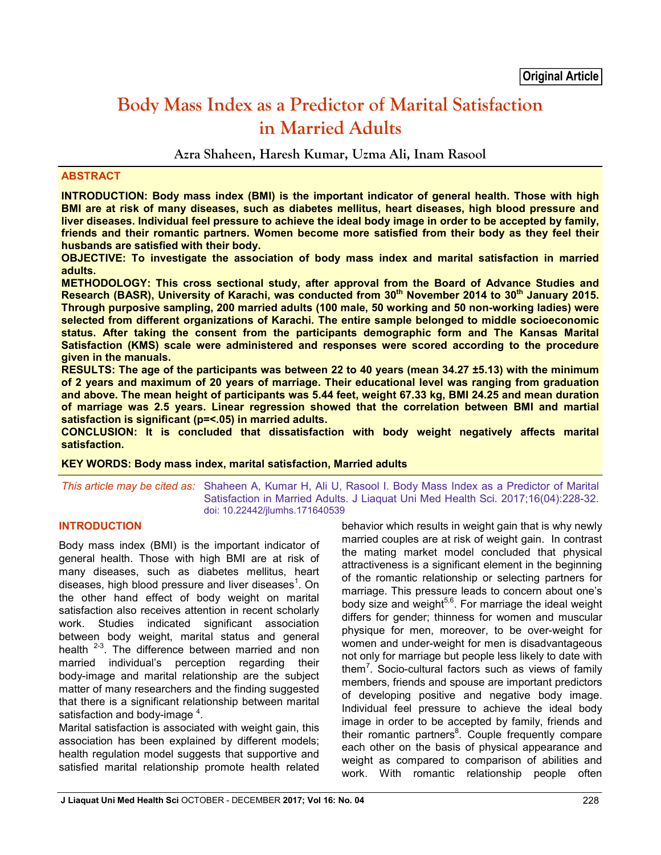# **Body Mass Index as a Predictor of Marital Satisfaction in Married Adults**

**Azra Shaheen, Haresh Kumar, Uzma Ali, Inam Rasool**

#### **ABSTRACT**

**INTRODUCTION: Body mass index (BMI) is the important indicator of general health. Those with high BMI are at risk of many diseases, such as diabetes mellitus, heart diseases, high blood pressure and liver diseases. Individual feel pressure to achieve the ideal body image in order to be accepted by family, friends and their romantic partners. Women become more satisfied from their body as they feel their husbands are satisfied with their body.** 

**OBJECTIVE: To investigate the association of body mass index and marital satisfaction in married adults.** 

**METHODOLOGY: This cross sectional study, after approval from the Board of Advance Studies and**  Research (BASR), University of Karachi, was conducted from 30<sup>th</sup> November 2014 to 30<sup>th</sup> January 2015. **Through purposive sampling, 200 married adults (100 male, 50 working and 50 non-working ladies) were selected from different organizations of Karachi. The entire sample belonged to middle socioeconomic status. After taking the consent from the participants demographic form and The Kansas Marital Satisfaction (KMS) scale were administered and responses were scored according to the procedure given in the manuals.**

**RESULTS: The age of the participants was between 22 to 40 years (mean 34.27 ±5.13) with the minimum of 2 years and maximum of 20 years of marriage. Their educational level was ranging from graduation and above. The mean height of participants was 5.44 feet, weight 67.33 kg, BMI 24.25 and mean duration of marriage was 2.5 years. Linear regression showed that the correlation between BMI and martial satisfaction is significant (p=<.05) in married adults.** 

**CONCLUSION: It is concluded that dissatisfaction with body weight negatively affects marital satisfaction.**

#### **KEY WORDS: Body mass index, marital satisfaction, Married adults**

*This article may be cited as:* Shaheen A, Kumar H, Ali U, Rasool I. Body Mass Index as a Predictor of Marital Satisfaction in Married Adults. J Liaquat Uni Med Health Sci. 2017;16(04):228-32. doi: 10.22442/jlumhs.171640539

#### **INTRODUCTION**

Body mass index (BMI) is the important indicator of general health. Those with high BMI are at risk of many diseases, such as diabetes mellitus, heart diseases, high blood pressure and liver diseases<sup>1</sup>. On the other hand effect of body weight on marital satisfaction also receives attention in recent scholarly work. Studies indicated significant association between body weight, marital status and general health <sup>2-3</sup>. The difference between married and non married individual's perception regarding their body-image and marital relationship are the subject matter of many researchers and the finding suggested that there is a significant relationship between marital satisfaction and body-image  $4$ .

Marital satisfaction is associated with weight gain, this association has been explained by different models; health regulation model suggests that supportive and satisfied marital relationship promote health related behavior which results in weight gain that is why newly married couples are at risk of weight gain. In contrast the mating market model concluded that physical attractiveness is a significant element in the beginning of the romantic relationship or selecting partners for marriage. This pressure leads to concern about one's body size and weight $^{5,6}$ . For marriage the ideal weight differs for gender; thinness for women and muscular physique for men, moreover, to be over-weight for women and under-weight for men is disadvantageous not only for marriage but people less likely to date with them<sup>7</sup>. Socio-cultural factors such as views of family members, friends and spouse are important predictors of developing positive and negative body image. Individual feel pressure to achieve the ideal body image in order to be accepted by family, friends and their romantic partners<sup>8</sup>. Couple frequently compare each other on the basis of physical appearance and weight as compared to comparison of abilities and work. With romantic relationship people often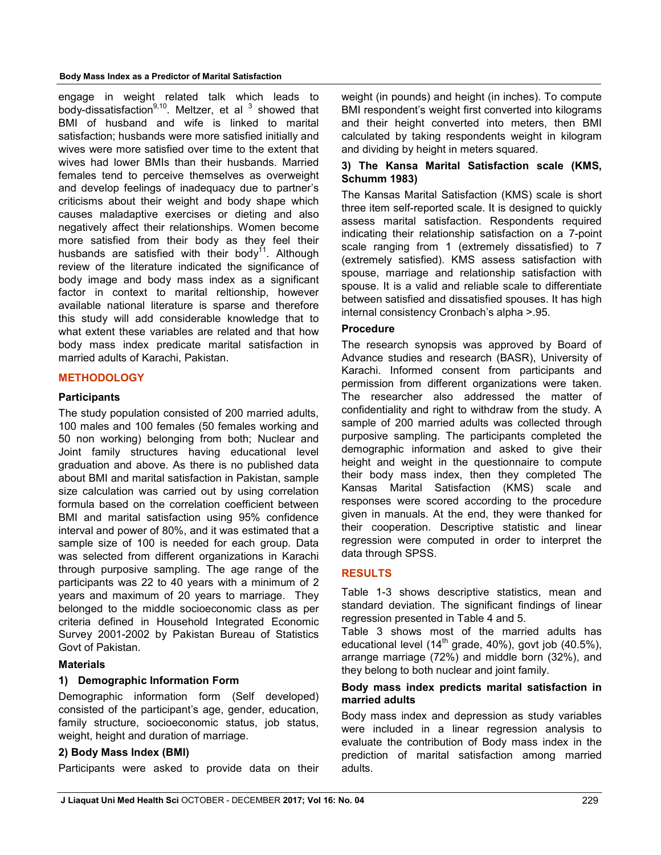#### **Body Mass Index as a Predictor of Marital Satisfaction**

engage in weight related talk which leads to body-dissatisfaction $9,10$ . Meltzer, et al  $3$  showed that BMI of husband and wife is linked to marital satisfaction; husbands were more satisfied initially and wives were more satisfied over time to the extent that wives had lower BMIs than their husbands. Married females tend to perceive themselves as overweight and develop feelings of inadequacy due to partner's criticisms about their weight and body shape which causes maladaptive exercises or dieting and also negatively affect their relationships. Women become more satisfied from their body as they feel their husbands are satisfied with their body<sup>11</sup>. Although review of the literature indicated the significance of body image and body mass index as a significant factor in context to marital reltionship, however available national literature is sparse and therefore this study will add considerable knowledge that to what extent these variables are related and that how body mass index predicate marital satisfaction in married adults of Karachi, Pakistan.

#### **METHODOLOGY**

#### **Participants**

The study population consisted of 200 married adults, 100 males and 100 females (50 females working and 50 non working) belonging from both; Nuclear and Joint family structures having educational level graduation and above. As there is no published data about BMI and marital satisfaction in Pakistan, sample size calculation was carried out by using correlation formula based on the correlation coefficient between BMI and marital satisfaction using 95% confidence interval and power of 80%, and it was estimated that a sample size of 100 is needed for each group. Data was selected from different organizations in Karachi through purposive sampling. The age range of the participants was 22 to 40 years with a minimum of 2 years and maximum of 20 years to marriage. They belonged to the middle socioeconomic class as per criteria defined in Household Integrated Economic Survey 2001-2002 by Pakistan Bureau of Statistics Govt of Pakistan.

#### **Materials**

#### **1) Demographic Information Form**

Demographic information form (Self developed) consisted of the participant's age, gender, education, family structure, socioeconomic status, job status, weight, height and duration of marriage.

#### **2) Body Mass Index (BMI)**

Participants were asked to provide data on their

weight (in pounds) and height (in inches). To compute BMI respondent's weight first converted into kilograms and their height converted into meters, then BMI calculated by taking respondents weight in kilogram and dividing by height in meters squared.

## **3) The Kansa Marital Satisfaction scale (KMS, Schumm 1983)**

The Kansas Marital Satisfaction (KMS) scale is short three item self-reported scale. It is designed to quickly assess marital satisfaction. Respondents required indicating their relationship satisfaction on a 7-point scale ranging from 1 (extremely dissatisfied) to 7 (extremely satisfied). KMS assess satisfaction with spouse, marriage and relationship satisfaction with spouse. It is a valid and reliable scale to differentiate between satisfied and dissatisfied spouses. It has high internal consistency Cronbach's alpha >.95.

#### **Procedure**

The research synopsis was approved by Board of Advance studies and research (BASR), University of Karachi. Informed consent from participants and permission from different organizations were taken. The researcher also addressed the matter of confidentiality and right to withdraw from the study. A sample of 200 married adults was collected through purposive sampling. The participants completed the demographic information and asked to give their height and weight in the questionnaire to compute their body mass index, then they completed The Kansas Marital Satisfaction (KMS) scale and responses were scored according to the procedure given in manuals. At the end, they were thanked for their cooperation. Descriptive statistic and linear regression were computed in order to interpret the data through SPSS.

## **RESULTS**

Table 1-3 shows descriptive statistics, mean and standard deviation. The significant findings of linear regression presented in Table 4 and 5.

Table 3 shows most of the married adults has educational level  $(14<sup>th</sup>$  grade,  $40\%$ ), govt job  $(40.5\%)$ , arrange marriage (72%) and middle born (32%), and they belong to both nuclear and joint family.

#### **Body mass index predicts marital satisfaction in married adults**

Body mass index and depression as study variables were included in a linear regression analysis to evaluate the contribution of Body mass index in the prediction of marital satisfaction among married adults.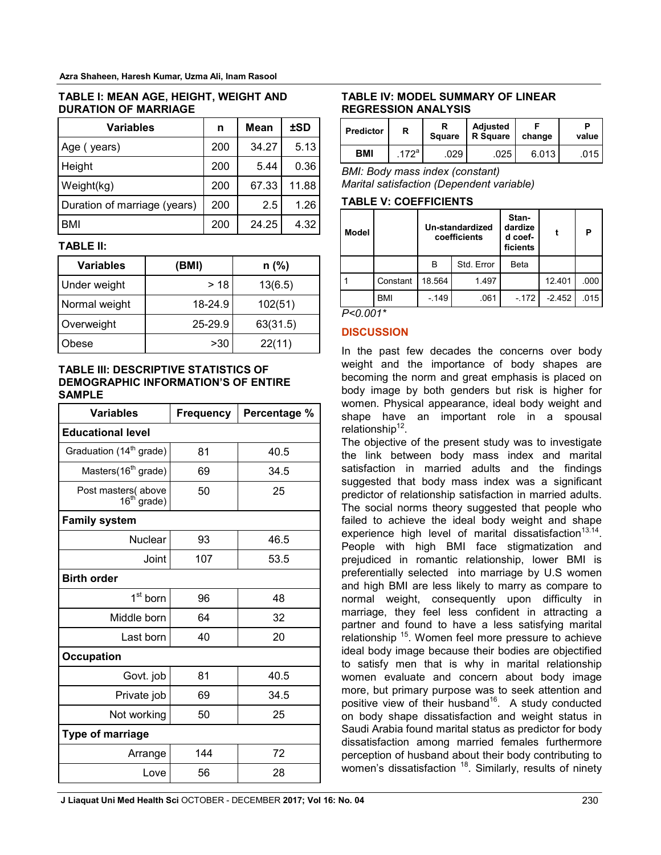| TABLE I: MEAN AGE, HEIGHT, WEIGHT AND |  |
|---------------------------------------|--|
| <b>DURATION OF MARRIAGE</b>           |  |

| Variables                    | n   | Mean  | <b>±SD</b> |
|------------------------------|-----|-------|------------|
| Age (years)                  | 200 | 34.27 | 5.13       |
| Height                       | 200 | 5.44  | 0.36       |
| Weight(kg)                   | 200 | 67.33 | 11.88      |
| Duration of marriage (years) | 200 | 2.5   | 1.26       |
| BMI                          | 200 | 24.25 | 4.32       |

#### **TABLE II:**

| Variables           | (BMI)   | $n$ (%)  |
|---------------------|---------|----------|
| <b>Under weight</b> | > 18    | 13(6.5)  |
| Normal weight       | 18-24.9 | 102(51)  |
| Overweight          | 25-29.9 | 63(31.5) |
| bese                | >30     | 22(11)   |

#### **TABLE III: DESCRIPTIVE STATISTICS OF DEMOGRAPHIC INFORMATION'S OF ENTIRE SAMPLE**

| <b>Variables</b>                              | <b>Frequency</b> | Percentage % |  |  |  |  |
|-----------------------------------------------|------------------|--------------|--|--|--|--|
| <b>Educational level</b>                      |                  |              |  |  |  |  |
| Graduation (14 <sup>th</sup> grade)           | 81               | 40.5         |  |  |  |  |
| Masters(16 <sup>th</sup> grade)               | 69               | 34.5         |  |  |  |  |
| Post masters(above<br>16 <sup>th</sup> grade) | 50               | 25           |  |  |  |  |
| <b>Family system</b>                          |                  |              |  |  |  |  |
| <b>Nuclear</b>                                | 93               | 46.5         |  |  |  |  |
| Joint                                         | 107              | 53.5         |  |  |  |  |
| <b>Birth order</b>                            |                  |              |  |  |  |  |
| 1 <sup>st</sup> born                          | 96               | 48           |  |  |  |  |
| Middle born                                   | 64               | 32           |  |  |  |  |
| Last born                                     | 40               | 20           |  |  |  |  |
| <b>Occupation</b>                             |                  |              |  |  |  |  |
| Govt. job                                     | 81               | 40.5         |  |  |  |  |
| Private job                                   | 69               | 34.5         |  |  |  |  |
| Not working                                   | 50               | 25           |  |  |  |  |
| <b>Type of marriage</b>                       |                  |              |  |  |  |  |
| Arrange                                       | 144              | 72           |  |  |  |  |
| Love                                          | 56               | 28           |  |  |  |  |

## **TABLE IV: MODEL SUMMARY OF LINEAR REGRESSION ANALYSIS**

| <b>Predictor</b> | R                | <b>Square</b> | <b>Adiusted</b><br><b>R</b> Square | change | value |
|------------------|------------------|---------------|------------------------------------|--------|-------|
| <b>BMI</b>       | 172 <sup>a</sup> | .029          | 025                                | 6.0131 | .015  |

*BMI: Body mass index (constant) Marital satisfaction (Dependent variable)*

## **TABLE V: COEFFICIENTS**

| <b>Model</b> |            | Un-standardized<br>coefficients |            | Stan-<br>dardize<br>d coef-<br>ficients |          | P    |
|--------------|------------|---------------------------------|------------|-----------------------------------------|----------|------|
|              |            | В                               | Std. Error | <b>Beta</b>                             |          |      |
|              | Constant   | 18.564                          | 1.497      |                                         | 12.401   | .000 |
|              | <b>BMI</b> | $-149$                          | .061       | $-172$                                  | $-2.452$ | .015 |

*P<0.001\**

## **DISCUSSION**

In the past few decades the concerns over body weight and the importance of body shapes are becoming the norm and great emphasis is placed on body image by both genders but risk is higher for women. Physical appearance, ideal body weight and shape have an important role in a spousal relationship $12$ .

The objective of the present study was to investigate the link between body mass index and marital satisfaction in married adults and the findings suggested that body mass index was a significant predictor of relationship satisfaction in married adults. The social norms theory suggested that people who failed to achieve the ideal body weight and shape experience high level of marital dissatisfaction<sup>13.14</sup>. People with high BMI face stigmatization and prejudiced in romantic relationship, lower BMI is preferentially selected into marriage by U.S women and high BMI are less likely to marry as compare to normal weight, consequently upon difficulty in marriage, they feel less confident in attracting a partner and found to have a less satisfying marital relationship 15. Women feel more pressure to achieve ideal body image because their bodies are objectified to satisfy men that is why in marital relationship women evaluate and concern about body image more, but primary purpose was to seek attention and positive view of their husband<sup>16</sup>. A study conducted on body shape dissatisfaction and weight status in Saudi Arabia found marital status as predictor for body dissatisfaction among married females furthermore perception of husband about their body contributing to women's dissatisfaction  $18$ . Similarly, results of ninety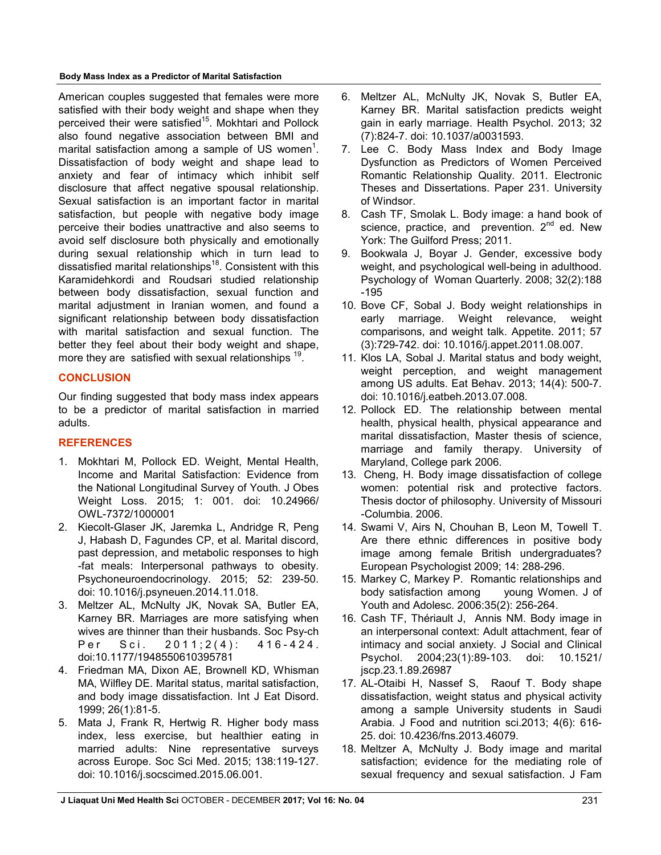**Body Mass Index as a Predictor of Marital Satisfaction**

American couples suggested that females were more satisfied with their body weight and shape when they perceived their were satisfied<sup>15</sup>. Mokhtari and Pollock also found negative association between BMI and marital satisfaction among a sample of US women<sup>1</sup>. Dissatisfaction of body weight and shape lead to anxiety and fear of intimacy which inhibit self disclosure that affect negative spousal relationship. Sexual satisfaction is an important factor in marital satisfaction, but people with negative body image perceive their bodies unattractive and also seems to avoid self disclosure both physically and emotionally during sexual relationship which in turn lead to dissatisfied marital relationships<sup>18</sup>. Consistent with this Karamidehkordi and Roudsari studied relationship between body dissatisfaction, sexual function and marital adjustment in Iranian women, and found a significant relationship between body dissatisfaction with marital satisfaction and sexual function. The better they feel about their body weight and shape, more they are satisfied with sexual relationships <sup>19</sup>.

# **CONCLUSION**

Our finding suggested that body mass index appears to be a predictor of marital satisfaction in married adults.

# **REFERENCES**

- 1. Mokhtari M, Pollock ED. Weight, Mental Health, Income and Marital Satisfaction: Evidence from the National Longitudinal Survey of Youth. J Obes Weight Loss. 2015; 1: 001. doi: 10.24966/ OWL-7372/1000001
- 2. Kiecolt-Glaser JK, Jaremka L, Andridge R, Peng J, Habash D, Fagundes CP, et al. Marital discord, past depression, and metabolic responses to high -fat meals: Interpersonal pathways to obesity. Psychoneuroendocrinology. 2015; 52: 239-50. doi: 10.1016/j.psyneuen.2014.11.018.
- 3. Meltzer AL, McNulty JK, Novak SA, Butler EA, Karney BR. Marriages are more satisfying when wives are thinner than their husbands. Soc Psy-ch Per Sci. 2011; 2 (4): 416-424. doi:10.1177/1948550610395781
- 4. Friedman MA, Dixon AE, Brownell KD, Whisman MA, Wilfley DE. Marital status, marital satisfaction, and body image dissatisfaction. Int J Eat Disord. 1999; 26(1):81-5.
- 5. Mata J, Frank R, Hertwig R. Higher body mass index, less exercise, but healthier eating in married adults: Nine representative surveys across Europe. Soc Sci Med. 2015; 138:119-127. doi: 10.1016/j.socscimed.2015.06.001.
- 6. Meltzer AL, McNulty JK, Novak S, Butler EA, Karney BR. Marital satisfaction predicts weight gain in early marriage. Health Psychol. 2013; 32 (7):824-7. doi: 10.1037/a0031593.
- 7. Lee C. Body Mass Index and Body Image Dysfunction as Predictors of Women Perceived Romantic Relationship Quality. 2011. Electronic Theses and Dissertations. Paper 231. University of Windsor.
- 8. Cash TF, Smolak L. Body image: a hand book of science, practice, and prevention.  $2^{nd}$  ed. New York: The Guilford Press; 2011.
- 9. Bookwala J, Boyar J. Gender, excessive body weight, and psychological well-being in adulthood. Psychology of Woman Quarterly. 2008; 32(2):188 -195
- 10. Bove CF, Sobal J. Body weight relationships in early marriage. Weight relevance, weight comparisons, and weight talk. Appetite. 2011; 57 (3):729-742. doi: 10.1016/j.appet.2011.08.007.
- 11. Klos LA, Sobal J. Marital status and body weight, weight perception, and weight management among US adults. Eat Behav. 2013; 14(4): 500-7. doi: 10.1016/j.eatbeh.2013.07.008.
- 12. Pollock ED. The relationship between mental health, physical health, physical appearance and marital dissatisfaction, Master thesis of science, marriage and family therapy. University of Maryland, College park 2006.
- 13. Cheng, H. Body image dissatisfaction of college women: potential risk and protective factors. Thesis doctor of philosophy. University of Missouri -Columbia. 2006.
- 14. Swami V, Airs N, Chouhan B, Leon M, Towell T. Are there ethnic differences in positive body image among female British undergraduates? European Psychologist 2009; 14: 288-296.
- 15. Markey C, Markey P. Romantic relationships and body satisfaction among young Women. J of Youth and Adolesc. 2006:35(2): 256-264.
- 16. Cash TF, Thériault J, Annis NM. Body image in an interpersonal context: Adult attachment, fear of intimacy and social anxiety. J Social and Clinical Psychol. 2004;23(1):89-103. doi: 10.1521/ jscp.23.1.89.26987
- 17. AL-Otaibi H, Nassef S, Raouf T. Body shape dissatisfaction, weight status and physical activity among a sample University students in Saudi Arabia. J Food and nutrition sci.2013; 4(6): 616- 25. doi: 10.4236/fns.2013.46079.
- 18. Meltzer A, McNulty J. Body image and marital satisfaction; evidence for the mediating role of sexual frequency and sexual satisfaction. J Fam